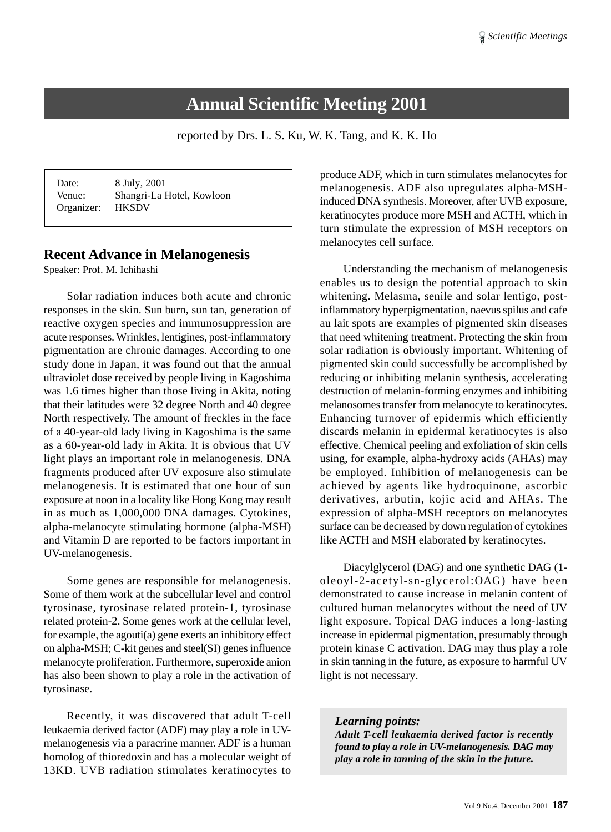# **Annual Scientific Meeting 2001**

reported by Drs. L. S. Ku, W. K. Tang, and K. K. Ho

| Date:      | 8 July, 2001              |
|------------|---------------------------|
| Venue:     | Shangri-La Hotel, Kowloon |
| Organizer: | <b>HKSDV</b>              |

### **Recent Advance in Melanogenesis**

Speaker: Prof. M. Ichihashi

Solar radiation induces both acute and chronic responses in the skin. Sun burn, sun tan, generation of reactive oxygen species and immunosuppression are acute responses. Wrinkles, lentigines, post-inflammatory pigmentation are chronic damages. According to one study done in Japan, it was found out that the annual ultraviolet dose received by people living in Kagoshima was 1.6 times higher than those living in Akita, noting that their latitudes were 32 degree North and 40 degree North respectively. The amount of freckles in the face of a 40-year-old lady living in Kagoshima is the same as a 60-year-old lady in Akita. It is obvious that UV light plays an important role in melanogenesis. DNA fragments produced after UV exposure also stimulate melanogenesis. It is estimated that one hour of sun exposure at noon in a locality like Hong Kong may result in as much as 1,000,000 DNA damages. Cytokines, alpha-melanocyte stimulating hormone (alpha-MSH) and Vitamin D are reported to be factors important in UV-melanogenesis.

Some genes are responsible for melanogenesis. Some of them work at the subcellular level and control tyrosinase, tyrosinase related protein-1, tyrosinase related protein-2. Some genes work at the cellular level, for example, the agouti(a) gene exerts an inhibitory effect on alpha-MSH; C-kit genes and steel(SI) genes influence melanocyte proliferation. Furthermore, superoxide anion has also been shown to play a role in the activation of tyrosinase.

Recently, it was discovered that adult T-cell leukaemia derived factor (ADF) may play a role in UVmelanogenesis via a paracrine manner. ADF is a human homolog of thioredoxin and has a molecular weight of 13KD. UVB radiation stimulates keratinocytes to

produce ADF, which in turn stimulates melanocytes for melanogenesis. ADF also upregulates alpha-MSHinduced DNA synthesis. Moreover, after UVB exposure, keratinocytes produce more MSH and ACTH, which in turn stimulate the expression of MSH receptors on melanocytes cell surface.

Understanding the mechanism of melanogenesis enables us to design the potential approach to skin whitening. Melasma, senile and solar lentigo, postinflammatory hyperpigmentation, naevus spilus and cafe au lait spots are examples of pigmented skin diseases that need whitening treatment. Protecting the skin from solar radiation is obviously important. Whitening of pigmented skin could successfully be accomplished by reducing or inhibiting melanin synthesis, accelerating destruction of melanin-forming enzymes and inhibiting melanosomes transfer from melanocyte to keratinocytes. Enhancing turnover of epidermis which efficiently discards melanin in epidermal keratinocytes is also effective. Chemical peeling and exfoliation of skin cells using, for example, alpha-hydroxy acids (AHAs) may be employed. Inhibition of melanogenesis can be achieved by agents like hydroquinone, ascorbic derivatives, arbutin, kojic acid and AHAs. The expression of alpha-MSH receptors on melanocytes surface can be decreased by down regulation of cytokines like ACTH and MSH elaborated by keratinocytes.

Diacylglycerol (DAG) and one synthetic DAG (1 oleoyl-2-acetyl-sn-glycerol:OAG) have been demonstrated to cause increase in melanin content of cultured human melanocytes without the need of UV light exposure. Topical DAG induces a long-lasting increase in epidermal pigmentation, presumably through protein kinase C activation. DAG may thus play a role in skin tanning in the future, as exposure to harmful UV light is not necessary.

*Learning points: Adult T-cell leukaemia derived factor is recently found to play a role in UV-melanogenesis. DAG may play a role in tanning of the skin in the future.*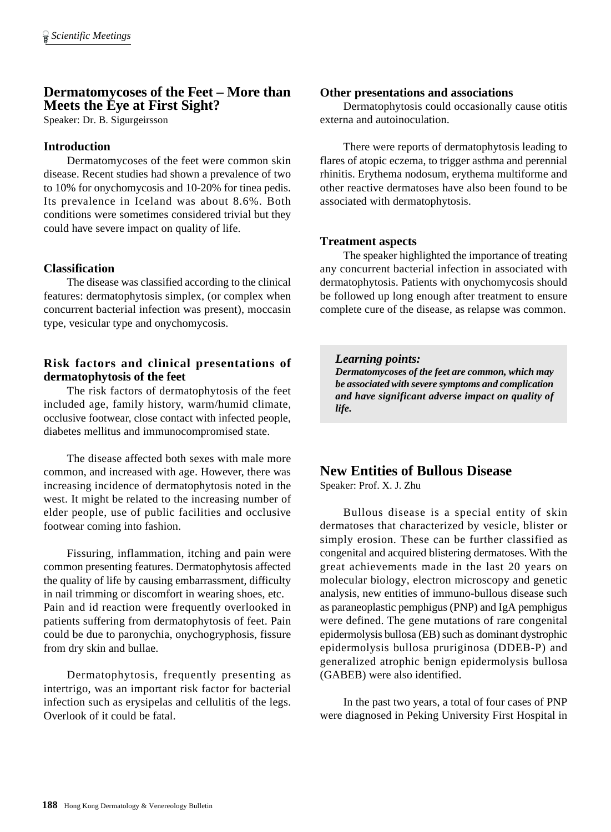### **Dermatomycoses of the Feet – More than Meets the Eye at First Sight?**

Speaker: Dr. B. Sigurgeirsson

### **Introduction**

Dermatomycoses of the feet were common skin disease. Recent studies had shown a prevalence of two to 10% for onychomycosis and 10-20% for tinea pedis. Its prevalence in Iceland was about 8.6%. Both conditions were sometimes considered trivial but they could have severe impact on quality of life.

### **Classification**

The disease was classified according to the clinical features: dermatophytosis simplex, (or complex when concurrent bacterial infection was present), moccasin type, vesicular type and onychomycosis.

### **Risk factors and clinical presentations of dermatophytosis of the feet**

The risk factors of dermatophytosis of the feet included age, family history, warm/humid climate, occlusive footwear, close contact with infected people, diabetes mellitus and immunocompromised state.

The disease affected both sexes with male more common, and increased with age. However, there was increasing incidence of dermatophytosis noted in the west. It might be related to the increasing number of elder people, use of public facilities and occlusive footwear coming into fashion.

Fissuring, inflammation, itching and pain were common presenting features. Dermatophytosis affected the quality of life by causing embarrassment, difficulty in nail trimming or discomfort in wearing shoes, etc. Pain and id reaction were frequently overlooked in patients suffering from dermatophytosis of feet. Pain could be due to paronychia, onychogryphosis, fissure from dry skin and bullae.

Dermatophytosis, frequently presenting as intertrigo, was an important risk factor for bacterial infection such as erysipelas and cellulitis of the legs. Overlook of it could be fatal.

### **Other presentations and associations**

Dermatophytosis could occasionally cause otitis externa and autoinoculation.

There were reports of dermatophytosis leading to flares of atopic eczema, to trigger asthma and perennial rhinitis. Erythema nodosum, erythema multiforme and other reactive dermatoses have also been found to be associated with dermatophytosis.

### **Treatment aspects**

The speaker highlighted the importance of treating any concurrent bacterial infection in associated with dermatophytosis. Patients with onychomycosis should be followed up long enough after treatment to ensure complete cure of the disease, as relapse was common.

### *Learning points:*

*Dermatomycoses of the feet are common, which may be associated with severe symptoms and complication and have significant adverse impact on quality of life.*

### **New Entities of Bullous Disease**

Speaker: Prof. X. J. Zhu

Bullous disease is a special entity of skin dermatoses that characterized by vesicle, blister or simply erosion. These can be further classified as congenital and acquired blistering dermatoses. With the great achievements made in the last 20 years on molecular biology, electron microscopy and genetic analysis, new entities of immuno-bullous disease such as paraneoplastic pemphigus (PNP) and IgA pemphigus were defined. The gene mutations of rare congenital epidermolysis bullosa (EB) such as dominant dystrophic epidermolysis bullosa pruriginosa (DDEB-P) and generalized atrophic benign epidermolysis bullosa (GABEB) were also identified.

In the past two years, a total of four cases of PNP were diagnosed in Peking University First Hospital in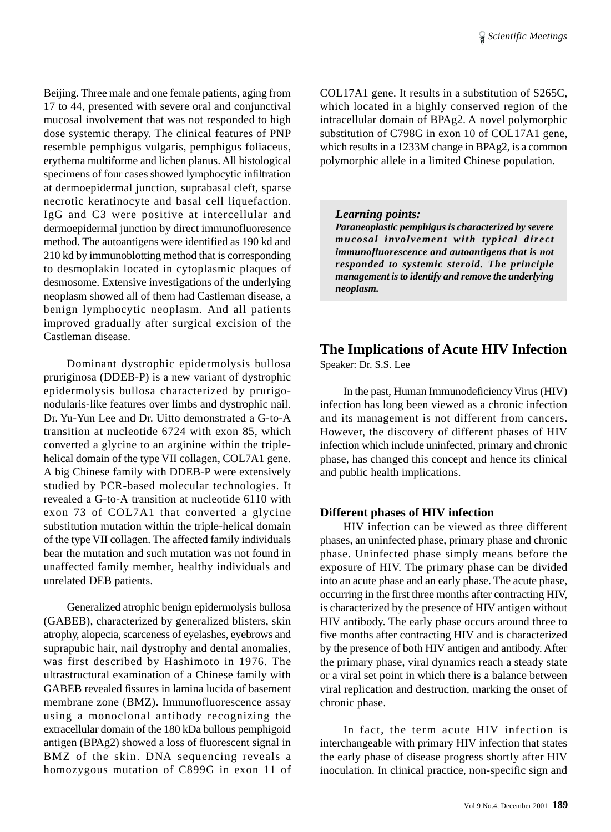Beijing. Three male and one female patients, aging from 17 to 44, presented with severe oral and conjunctival mucosal involvement that was not responded to high dose systemic therapy. The clinical features of PNP resemble pemphigus vulgaris, pemphigus foliaceus, erythema multiforme and lichen planus. All histological specimens of four cases showed lymphocytic infiltration at dermoepidermal junction, suprabasal cleft, sparse necrotic keratinocyte and basal cell liquefaction. IgG and C3 were positive at intercellular and dermoepidermal junction by direct immunofluoresence method. The autoantigens were identified as 190 kd and 210 kd by immunoblotting method that is corresponding to desmoplakin located in cytoplasmic plaques of desmosome. Extensive investigations of the underlying neoplasm showed all of them had Castleman disease, a benign lymphocytic neoplasm. And all patients improved gradually after surgical excision of the Castleman disease.

Dominant dystrophic epidermolysis bullosa pruriginosa (DDEB-P) is a new variant of dystrophic epidermolysis bullosa characterized by prurigonodularis-like features over limbs and dystrophic nail. Dr. Yu-Yun Lee and Dr. Uitto demonstrated a G-to-A transition at nucleotide 6724 with exon 85, which converted a glycine to an arginine within the triplehelical domain of the type VII collagen, COL7A1 gene. A big Chinese family with DDEB-P were extensively studied by PCR-based molecular technologies. It revealed a G-to-A transition at nucleotide 6110 with exon 73 of COL7A1 that converted a glycine substitution mutation within the triple-helical domain of the type VII collagen. The affected family individuals bear the mutation and such mutation was not found in unaffected family member, healthy individuals and unrelated DEB patients.

Generalized atrophic benign epidermolysis bullosa (GABEB), characterized by generalized blisters, skin atrophy, alopecia, scarceness of eyelashes, eyebrows and suprapubic hair, nail dystrophy and dental anomalies, was first described by Hashimoto in 1976. The ultrastructural examination of a Chinese family with GABEB revealed fissures in lamina lucida of basement membrane zone (BMZ). Immunofluorescence assay using a monoclonal antibody recognizing the extracellular domain of the 180 kDa bullous pemphigoid antigen (BPAg2) showed a loss of fluorescent signal in BMZ of the skin. DNA sequencing reveals a homozygous mutation of C899G in exon 11 of COL17A1 gene. It results in a substitution of S265C, which located in a highly conserved region of the intracellular domain of BPAg2. A novel polymorphic substitution of C798G in exon 10 of COL17A1 gene, which results in a 1233M change in BPAg2, is a common polymorphic allele in a limited Chinese population.

### *Learning points:*

*Paraneoplastic pemphigus is characterized by severe mucosal involvement with typical direct immunofluorescence and autoantigens that is not responded to systemic steroid. The principle management is to identify and remove the underlying neoplasm.*

## **The Implications of Acute HIV Infection**

Speaker: Dr. S.S. Lee

In the past, Human Immunodeficiency Virus (HIV) infection has long been viewed as a chronic infection and its management is not different from cancers. However, the discovery of different phases of HIV infection which include uninfected, primary and chronic phase, has changed this concept and hence its clinical and public health implications.

### **Different phases of HIV infection**

HIV infection can be viewed as three different phases, an uninfected phase, primary phase and chronic phase. Uninfected phase simply means before the exposure of HIV. The primary phase can be divided into an acute phase and an early phase. The acute phase, occurring in the first three months after contracting HIV, is characterized by the presence of HIV antigen without HIV antibody. The early phase occurs around three to five months after contracting HIV and is characterized by the presence of both HIV antigen and antibody. After the primary phase, viral dynamics reach a steady state or a viral set point in which there is a balance between viral replication and destruction, marking the onset of chronic phase.

In fact, the term acute HIV infection is interchangeable with primary HIV infection that states the early phase of disease progress shortly after HIV inoculation. In clinical practice, non-specific sign and